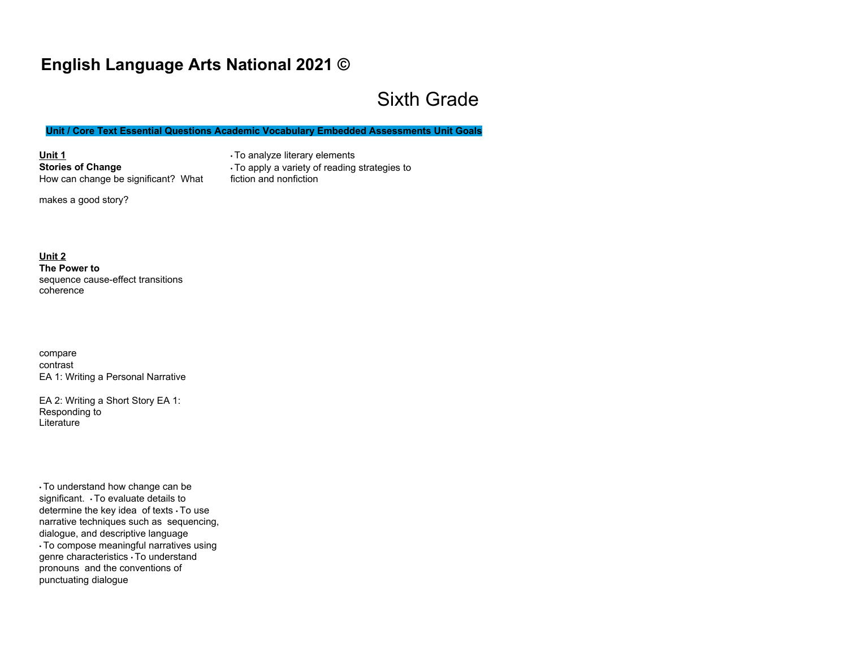## **English Language Arts National 2021 ©**

# Sixth Grade

**Unit / Core Text Essential Questions Academic Vocabulary Embedded Assessments Unit Goals**

**Unit 1 Stories of Change**  How can change be significant? What • To analyze literary elements • To apply a variety of reading strategies to fiction and nonfiction

makes a good story?

**Unit 2 The Power to**  sequence cause-effect transitions coherence

compare contrast EA 1: Writing a Personal Narrative

EA 2: Writing a Short Story EA 1: Responding to **Literature** 

• To understand how change can be significant. • To evaluate details to determine the key idea of texts • To use narrative techniques such as sequencing, dialogue, and descriptive language • To compose meaningful narratives using genre characteristics • To understand pronouns and the conventions of punctuating dialogue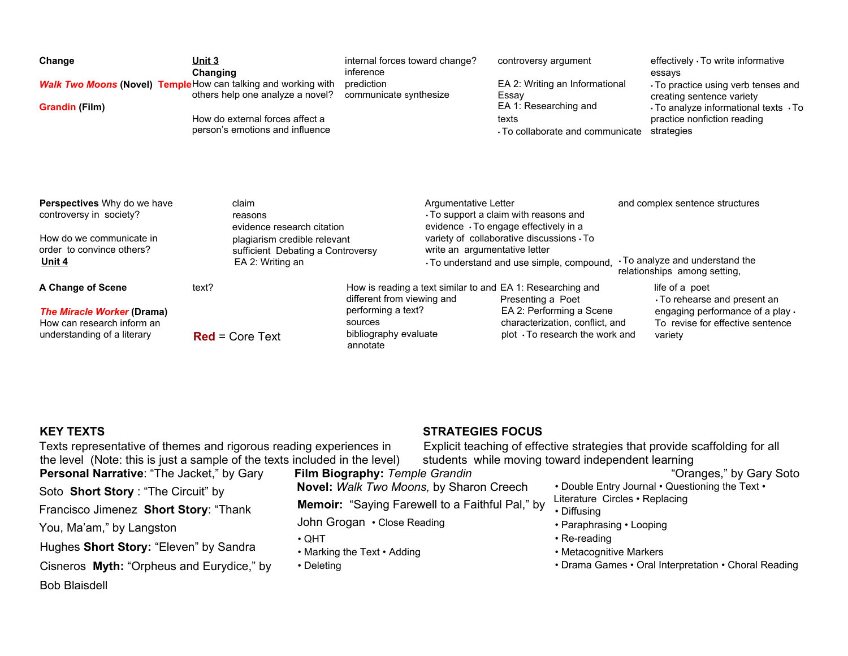| Change<br><b>Grandin (Film)</b>                                                                                                  | Unit 3<br>Changing<br><b>Walk Two Moons (Novel) Temple</b> How can talking and working with<br>others help one analyze a novel?<br>How do external forces affect a<br>person's emotions and influence | internal forces toward change?<br>inference<br>prediction<br>communicate synthesize              |                                                       | controversy argument<br>EA 2: Writing an Informational<br>Essay<br>EA 1: Researching and<br>texts<br>$\cdot$ To collaborate and communicate                                        | effectively · To write informative<br>essays<br>To practice using verb tenses and<br>creating sentence variety<br>$\cdot$ To analyze informational texts $\cdot$ To<br>practice nonfiction reading<br>strategies |
|----------------------------------------------------------------------------------------------------------------------------------|-------------------------------------------------------------------------------------------------------------------------------------------------------------------------------------------------------|--------------------------------------------------------------------------------------------------|-------------------------------------------------------|------------------------------------------------------------------------------------------------------------------------------------------------------------------------------------|------------------------------------------------------------------------------------------------------------------------------------------------------------------------------------------------------------------|
| <b>Perspectives</b> Why do we have<br>controversy in society?<br>How do we communicate in<br>order to convince others?<br>Unit 4 | claim<br>reasons<br>evidence research citation<br>plagiarism credible relevant<br>sufficient Debating a Controversy<br>EA 2: Writing an                                                               |                                                                                                  | Argumentative Letter<br>write an argumentative letter | $\cdot$ To support a claim with reasons and<br>evidence · To engage effectively in a<br>variety of collaborative discussions $\cdot$ To<br>To understand and use simple, compound, | and complex sentence structures<br>. To analyze and understand the<br>relationships among setting,                                                                                                               |
| A Change of Scene<br><b>The Miracle Worker (Drama)</b><br>How can research inform an<br>understanding of a literary              | text?<br>$Red = Core Text$                                                                                                                                                                            | different from viewing and<br>performing a text?<br>sources<br>bibliography evaluate<br>annotate |                                                       | How is reading a text similar to and EA 1: Researching and<br>Presenting a Poet<br>EA 2: Performing a Scene<br>characterization, conflict, and<br>plot To research the work and    | life of a poet<br>To rehearse and present an<br>engaging performance of a play $\cdot$<br>To revise for effective sentence<br>variety                                                                            |

#### **KEY TEXTS**

#### **STRATEGIES FOCUS**

Texts representative of themes and rigorous reading experiences in the level (Note: this is just a sample of the texts included in the level) **Personal Narrative**: "The Jacket," by Gary Soto **Short Story** : "The Circuit" by Francisco Jimenez **Short Story**: "Thank You, Ma'am," by Langston Hughes **Short Story:** "Eleven" by Sandra Cisneros **Myth:** "Orpheus and Eurydice," by Bob Blaisdell **Film Biography:** *Temple Grandin*  **Novel:** *Walk Two Moons,* by Sharon Creech **Memoir:** "Saying Farewell to a Faithful Pal," by John Grogan • Close Reading • QHT • Marking the Text • Adding • Deleting

Explicit teaching of effective strategies that provide scaffolding for all students while moving toward independent learning

"Oranges," by Gary Soto

- Double Entry Journal Questioning the Text •
- Literature Circles Replacing
- Diffusing
- Paraphrasing Looping
- Re-reading
- Metacognitive Markers
- Drama Games Oral Interpretation Choral Reading